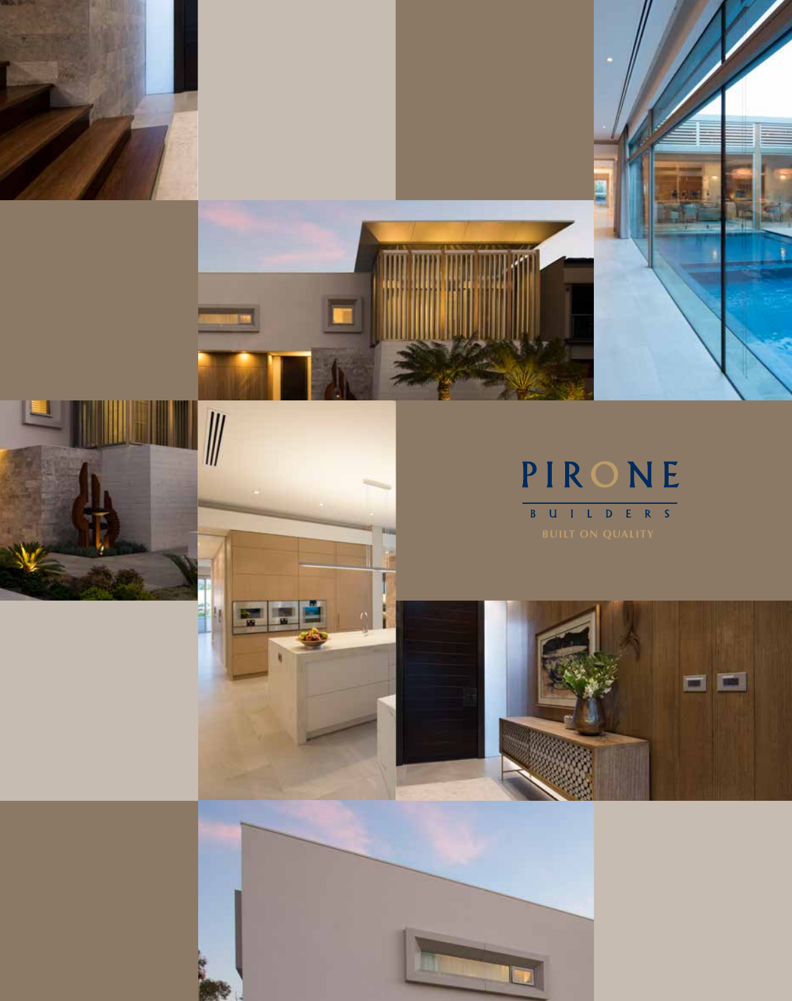





## PIRONE B U I L D E R S



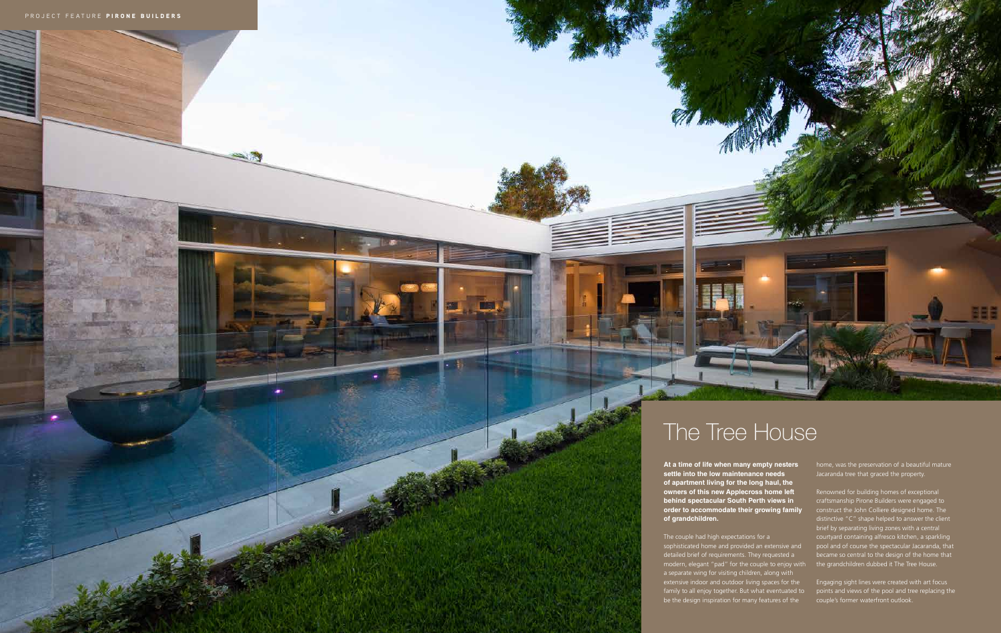## The Tree House

**At a time of life when many empty nesters settle into the low maintenance needs of apartment living for the long haul, the owners of this new Applecross home left behind spectacular South Perth views in order to accommodate their growing family of grandchildren.** 

The couple had high expectations for a sophisticated home and provided an extensive and detailed brief of requirements. They requested a modern, elegant "pad" for the couple to enjoy with a separate wing for visiting children, along with extensive indoor and outdoor living spaces for the family to all enjoy together. But what eventuated to be the design inspiration for many features of the

**Engaging sight lines were created with art focus** points and views of the pool and tree replacing the couple's former waterfront outlook.

home, was the preservation of a beautiful mature Jacaranda tree that graced the property.

Renowned for building homes of exceptional craftsmanship Pirone Builders were engaged to construct the John Colliere designed home. The distinctive "C" shape helped to answer the client brief by separating living zones with a central courtyard containing alfresco kitchen, a sparkling pool and of course the spectacular Jacaranda, that became so central to the design of the home that the grandchildren dubbed it The Tree House.

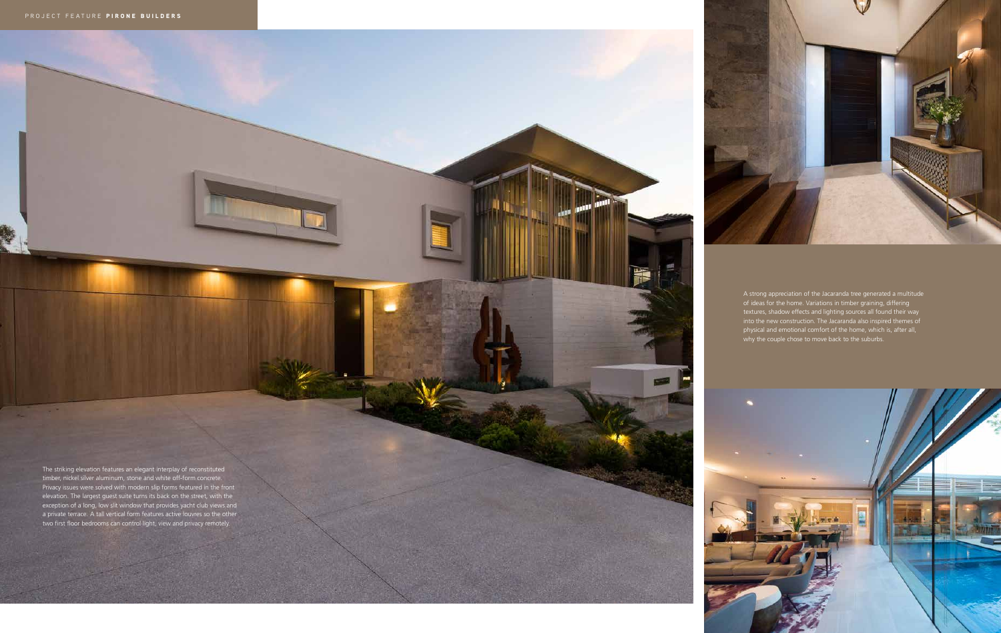The striking elevation features an elegant interplay of reconstituted timber, nickel silver aluminum, stone and white off-form concrete. Privacy issues were solved with modern slip forms featured in the front elevation. The largest guest suite turns its back on the street, with the exception of a long, low slit window that provides yacht club views and a private terrace. A tall vertical form features active louvres so the other two first floor bedrooms can control light, view and privacy remotely.

**1979** 



A strong appreciation of the Jacaranda tree generated a multitude of ideas for the home. Variations in timber graining, differing textures, shadow effects and lighting sources all found their way into the new construction. The Jacaranda also inspired themes of physical and emotional comfort of the home, which is, after all, why the couple chose to move back to the suburbs.

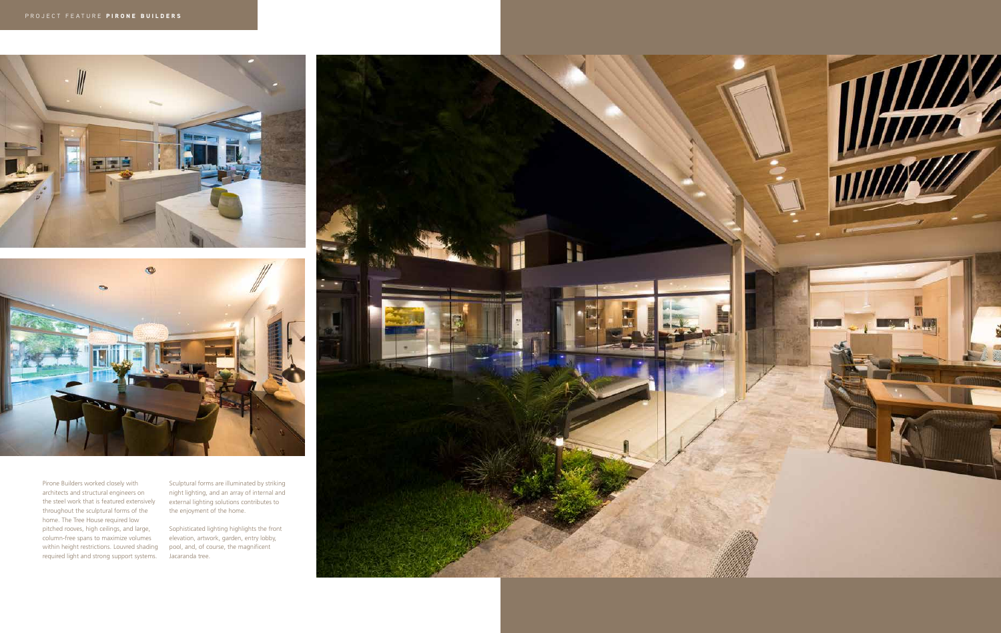



Pirone Builders worked closely with architects and structural engineers on the steel work that is featured extensively throughout the sculptural forms of the home. The Tree House required low pitched rooves, high ceilings, and large, column-free spans to maximize volumes within height restrictions. Louvred shading required light and strong support systems.

Sculptural forms are illuminated by striking night lighting, and an array of internal and external lighting solutions contributes to the enjoyment of the home.

Sophisticated lighting highlights the front elevation, artwork, garden, entry lobby, pool, and, of course, the magnificent Jacaranda tree.